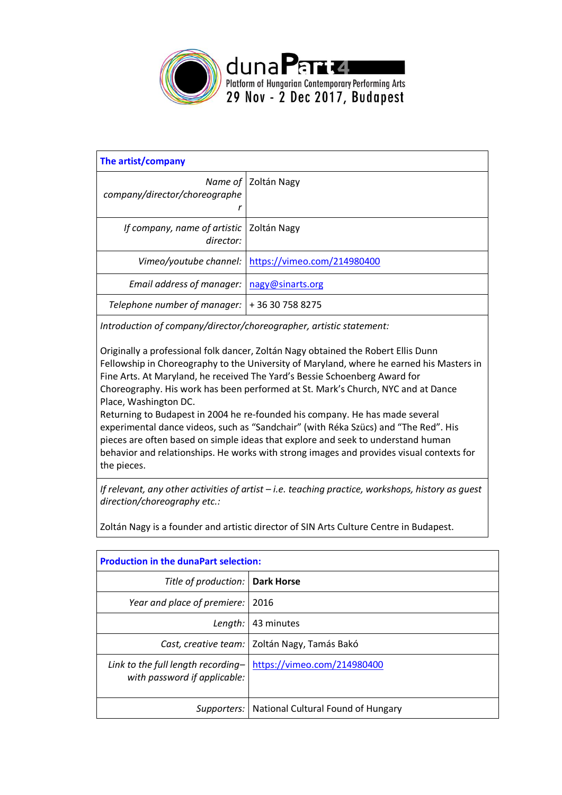

| The artist/company                        |                                                      |  |
|-------------------------------------------|------------------------------------------------------|--|
| Name of<br>company/director/choreographe  | Zoltán Nagy                                          |  |
| If company, name of artistic<br>director: | Zoltán Nagy                                          |  |
|                                           | Vimeo/youtube channel: \ https://vimeo.com/214980400 |  |
| Email address of manager:                 | nagy@sinarts.org                                     |  |
| Telephone number of manager:              | +36307588275                                         |  |

*Introduction of company/director/choreographer, artistic statement:*

Originally a professional folk dancer, Zoltán Nagy obtained the Robert Ellis Dunn Fellowship in Choreography to the University of Maryland, where he earned his Masters in Fine Arts. At Maryland, he received The Yard's Bessie Schoenberg Award for Choreography. His work has been performed at St. Mark's Church, NYC and at Dance Place, Washington DC.

Returning to Budapest in 2004 he re-founded his company. He has made several experimental dance videos, such as "Sandchair" (with Réka Szücs) and "The Red". His pieces are often based on simple ideas that explore and seek to understand human behavior and relationships. He works with strong images and provides visual contexts for the pieces.

*If relevant, any other activities of artist – i.e. teaching practice, workshops, history as guest direction/choreography etc.:* 

| <b>Production in the dunaPart selection:</b>                       |                                                  |  |
|--------------------------------------------------------------------|--------------------------------------------------|--|
| Title of production:   Dark Horse                                  |                                                  |  |
| Year and place of premiere:                                        | 2016                                             |  |
| Length:                                                            | 43 minutes                                       |  |
|                                                                    | Cast, creative team:   Zoltán Nagy, Tamás Bakó   |  |
| Link to the full length recording-<br>with password if applicable: | https://vimeo.com/214980400                      |  |
|                                                                    | Supporters:   National Cultural Found of Hungary |  |

Zoltán Nagy is a founder and artistic director of SIN Arts Culture Centre in Budapest.